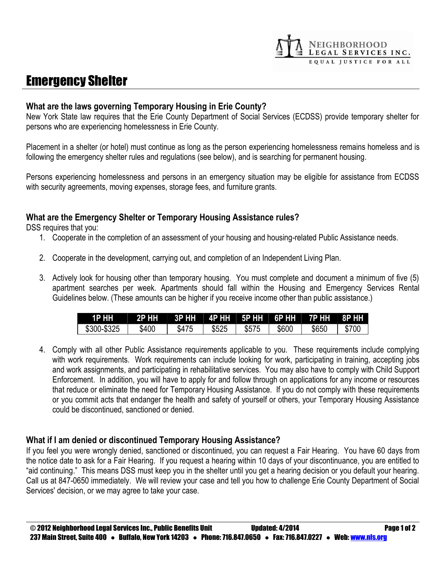# Emergency Shelter

#### **What are the laws governing Temporary Housing in Erie County?**

New York State law requires that the Erie County Department of Social Services (ECDSS) provide temporary shelter for persons who are experiencing homelessness in Erie County.

NEIGHBORHOOD<br>LEGAL SERVICES INC. EQUAL JUSTICE FOR ALL

Placement in a shelter (or hotel) must continue as long as the person experiencing homelessness remains homeless and is following the emergency shelter rules and regulations (see below), and is searching for permanent housing.

Persons experiencing homelessness and persons in an emergency situation may be eligible for assistance from ECDSS with security agreements, moving expenses, storage fees, and furniture grants.

### **What are the Emergency Shelter or Temporary Housing Assistance rules?**

DSS requires that you:

- 1. Cooperate in the completion of an assessment of your housing and housing-related Public Assistance needs.
- 2. Cooperate in the development, carrying out, and completion of an Independent Living Plan.
- 3. Actively look for housing other than temporary housing. You must complete and document a minimum of five (5) apartment searches per week. Apartments should fall within the Housing and Emergency Services Rental Guidelines below. (These amounts can be higher if you receive income other than public assistance.)

| 1P HH       | <b>2P HH</b> |       |       |       |       | ↓   3P HH         4P HH        5P HH        6P HH         7P HH        8P HH |       |
|-------------|--------------|-------|-------|-------|-------|------------------------------------------------------------------------------|-------|
| \$300-\$325 | \$400        | \$475 | \$525 | \$575 | \$600 | \$650                                                                        | \$700 |

4. Comply with all other Public Assistance requirements applicable to you. These requirements include complying with work requirements. Work requirements can include looking for work, participating in training, accepting jobs and work assignments, and participating in rehabilitative services. You may also have to comply with Child Support Enforcement. In addition, you will have to apply for and follow through on applications for any income or resources that reduce or eliminate the need for Temporary Housing Assistance. If you do not comply with these requirements or you commit acts that endanger the health and safety of yourself or others, your Temporary Housing Assistance could be discontinued, sanctioned or denied.

#### **What if I am denied or discontinued Temporary Housing Assistance?**

If you feel you were wrongly denied, sanctioned or discontinued, you can request a Fair Hearing. You have 60 days from the notice date to ask for a Fair Hearing. If you request a hearing within 10 days of your discontinuance, you are entitled to "aid continuing." This means DSS must keep you in the shelter until you get a hearing decision or you default your hearing. Call us at 847-0650 immediately. We will review your case and tell you how to challenge Erie County Department of Social Services' decision, or we may agree to take your case.